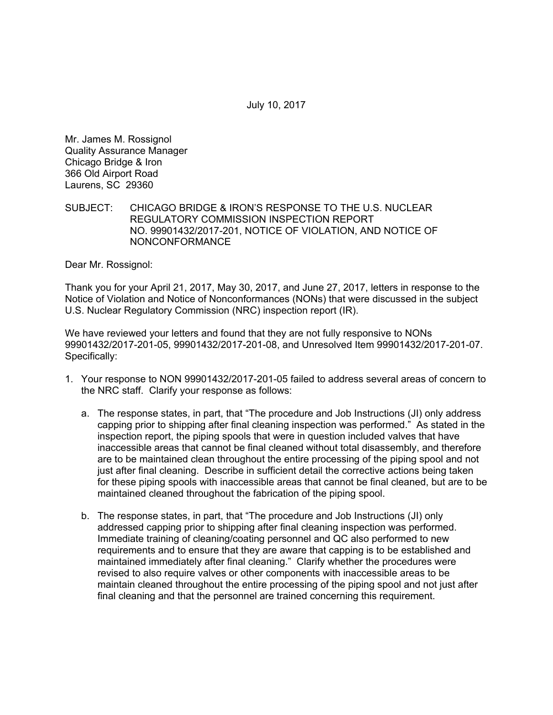July 10, 2017

Mr. James M. Rossignol Quality Assurance Manager Chicago Bridge & Iron 366 Old Airport Road Laurens, SC 29360

## SUBJECT: CHICAGO BRIDGE & IRON'S RESPONSE TO THE U.S. NUCLEAR REGULATORY COMMISSION INSPECTION REPORT NO. 99901432/2017-201, NOTICE OF VIOLATION, AND NOTICE OF NONCONFORMANCE

Dear Mr. Rossignol:

Thank you for your April 21, 2017, May 30, 2017, and June 27, 2017, letters in response to the Notice of Violation and Notice of Nonconformances (NONs) that were discussed in the subject U.S. Nuclear Regulatory Commission (NRC) inspection report (IR).

We have reviewed your letters and found that they are not fully responsive to NONs 99901432/2017-201-05, 99901432/2017-201-08, and Unresolved Item 99901432/2017-201-07. Specifically:

- 1. Your response to NON 99901432/2017-201-05 failed to address several areas of concern to the NRC staff. Clarify your response as follows:
	- a. The response states, in part, that "The procedure and Job Instructions (JI) only address capping prior to shipping after final cleaning inspection was performed." As stated in the inspection report, the piping spools that were in question included valves that have inaccessible areas that cannot be final cleaned without total disassembly, and therefore are to be maintained clean throughout the entire processing of the piping spool and not just after final cleaning. Describe in sufficient detail the corrective actions being taken for these piping spools with inaccessible areas that cannot be final cleaned, but are to be maintained cleaned throughout the fabrication of the piping spool.
	- b. The response states, in part, that "The procedure and Job Instructions (JI) only addressed capping prior to shipping after final cleaning inspection was performed. Immediate training of cleaning/coating personnel and QC also performed to new requirements and to ensure that they are aware that capping is to be established and maintained immediately after final cleaning." Clarify whether the procedures were revised to also require valves or other components with inaccessible areas to be maintain cleaned throughout the entire processing of the piping spool and not just after final cleaning and that the personnel are trained concerning this requirement.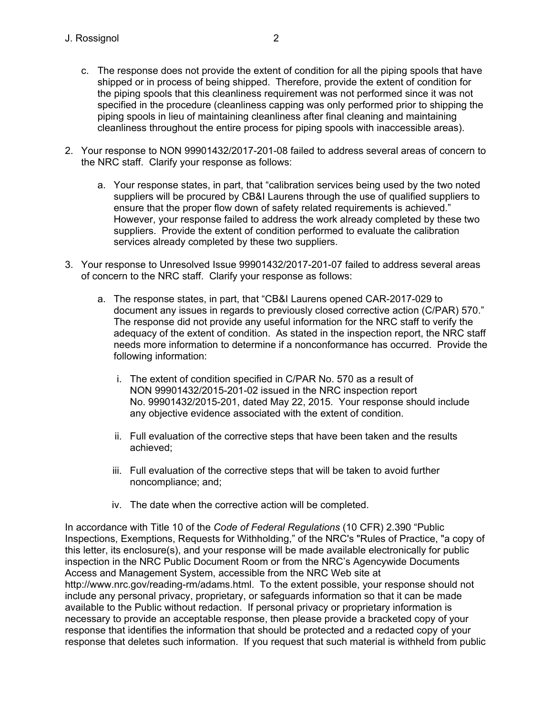- c. The response does not provide the extent of condition for all the piping spools that have shipped or in process of being shipped. Therefore, provide the extent of condition for the piping spools that this cleanliness requirement was not performed since it was not specified in the procedure (cleanliness capping was only performed prior to shipping the piping spools in lieu of maintaining cleanliness after final cleaning and maintaining cleanliness throughout the entire process for piping spools with inaccessible areas).
- 2. Your response to NON 99901432/2017-201-08 failed to address several areas of concern to the NRC staff. Clarify your response as follows:
	- a. Your response states, in part, that "calibration services being used by the two noted suppliers will be procured by CB&I Laurens through the use of qualified suppliers to ensure that the proper flow down of safety related requirements is achieved." However, your response failed to address the work already completed by these two suppliers. Provide the extent of condition performed to evaluate the calibration services already completed by these two suppliers.
- 3. Your response to Unresolved Issue 99901432/2017-201-07 failed to address several areas of concern to the NRC staff. Clarify your response as follows:
	- a. The response states, in part, that "CB&I Laurens opened CAR-2017-029 to document any issues in regards to previously closed corrective action (C/PAR) 570." The response did not provide any useful information for the NRC staff to verify the adequacy of the extent of condition. As stated in the inspection report, the NRC staff needs more information to determine if a nonconformance has occurred. Provide the following information:
		- i. The extent of condition specified in C/PAR No. 570 as a result of NON 99901432/2015-201-02 issued in the NRC inspection report No. 99901432/2015-201, dated May 22, 2015. Your response should include any objective evidence associated with the extent of condition.
		- ii. Full evaluation of the corrective steps that have been taken and the results achieved;
		- iii. Full evaluation of the corrective steps that will be taken to avoid further noncompliance; and;
		- iv. The date when the corrective action will be completed.

In accordance with Title 10 of the *Code of Federal Regulations* (10 CFR) 2.390 "Public Inspections, Exemptions, Requests for Withholding," of the NRC's "Rules of Practice, "a copy of this letter, its enclosure(s), and your response will be made available electronically for public inspection in the NRC Public Document Room or from the NRC's Agencywide Documents Access and Management System, accessible from the NRC Web site at http://www.nrc.gov/reading-rm/adams.html. To the extent possible, your response should not include any personal privacy, proprietary, or safeguards information so that it can be made available to the Public without redaction. If personal privacy or proprietary information is necessary to provide an acceptable response, then please provide a bracketed copy of your response that identifies the information that should be protected and a redacted copy of your response that deletes such information. If you request that such material is withheld from public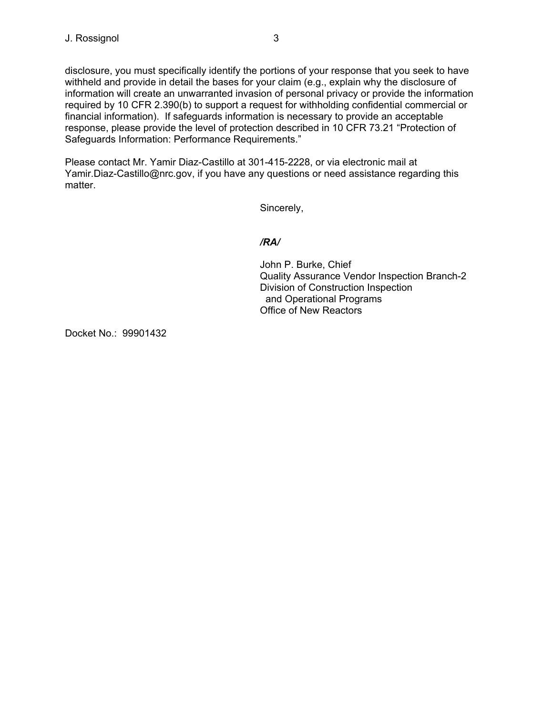disclosure, you must specifically identify the portions of your response that you seek to have withheld and provide in detail the bases for your claim (e.g., explain why the disclosure of information will create an unwarranted invasion of personal privacy or provide the information required by 10 CFR 2.390(b) to support a request for withholding confidential commercial or financial information). If safeguards information is necessary to provide an acceptable response, please provide the level of protection described in 10 CFR 73.21 "Protection of Safeguards Information: Performance Requirements."

Please contact Mr. Yamir Diaz-Castillo at 301-415-2228, or via electronic mail at Yamir.Diaz-Castillo@nrc.gov, if you have any questions or need assistance regarding this matter.

Sincerely,

## */RA/*

John P. Burke, Chief Quality Assurance Vendor Inspection Branch-2 Division of Construction Inspection and Operational Programs Office of New Reactors

Docket No.: 99901432